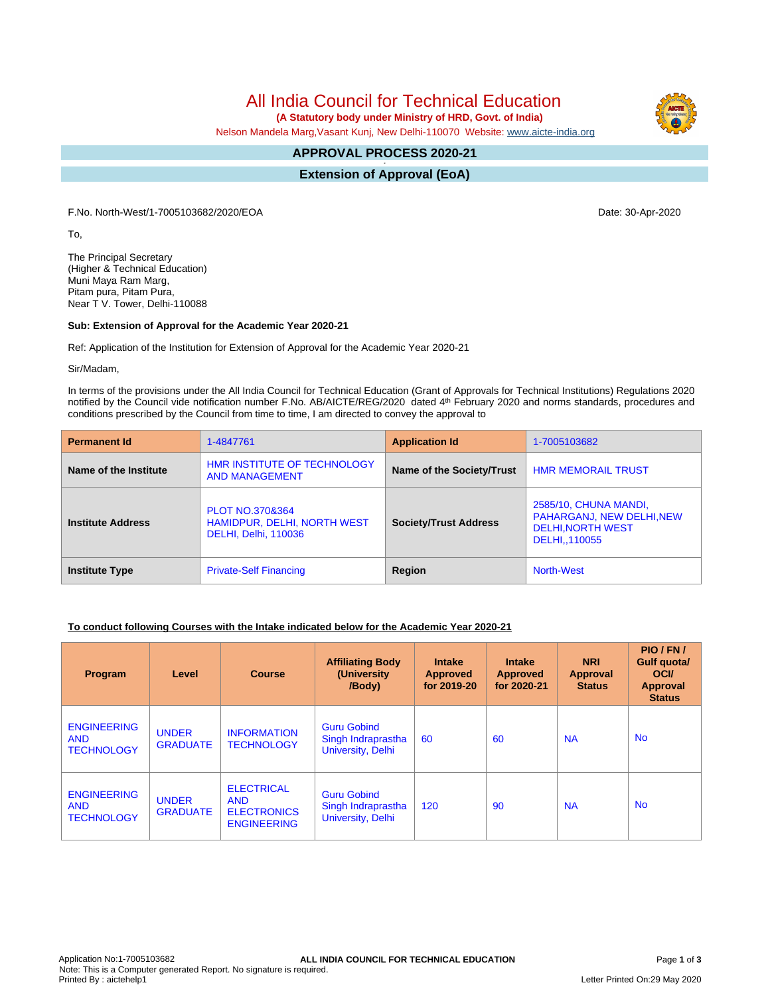# All India Council for Technical Education

 **(A Statutory body under Ministry of HRD, Govt. of India)**

Nelson Mandela Marg,Vasant Kunj, New Delhi-110070 Website: [www.aicte-india.org](http://www.aicte-india.org)

#### **APPROVAL PROCESS 2020-21 -**

**Extension of Approval (EoA)**

F.No. North-West/1-7005103682/2020/EOA Date: 30-Apr-2020

To,

The Principal Secretary (Higher & Technical Education) Muni Maya Ram Marg, Pitam pura, Pitam Pura, Near T V. Tower, Delhi-110088

#### **Sub: Extension of Approval for the Academic Year 2020-21**

Ref: Application of the Institution for Extension of Approval for the Academic Year 2020-21

Sir/Madam,

In terms of the provisions under the All India Council for Technical Education (Grant of Approvals for Technical Institutions) Regulations 2020 notified by the Council vide notification number F.No. AB/AICTE/REG/2020 dated 4<sup>th</sup> February 2020 and norms standards, procedures and conditions prescribed by the Council from time to time, I am directed to convey the approval to

| <b>Permanent Id</b>      | 1-4847761                                                                                | <b>Application Id</b>        | 1-7005103682                                                                                    |  |
|--------------------------|------------------------------------------------------------------------------------------|------------------------------|-------------------------------------------------------------------------------------------------|--|
| Name of the Institute    | <b>HMR INSTITUTE OF TECHNOLOGY</b><br><b>AND MANAGEMENT</b>                              | Name of the Society/Trust    | <b>HMR MEMORAIL TRUST</b>                                                                       |  |
| <b>Institute Address</b> | <b>PLOT NO.370&amp;364</b><br><b>HAMIDPUR, DELHI, NORTH WEST</b><br>DELHI, Delhi, 110036 | <b>Society/Trust Address</b> | 2585/10, CHUNA MANDI,<br>PAHARGANJ, NEW DELHI, NEW<br><b>DELHI, NORTH WEST</b><br>DELHI,,110055 |  |
| <b>Institute Type</b>    | Region<br><b>Private-Self Financing</b>                                                  |                              | North-West                                                                                      |  |

#### **To conduct following Courses with the Intake indicated below for the Academic Year 2020-21**

| Program                                               | Level                           | <b>Course</b>                                                               | <b>Affiliating Body</b><br>(University)<br>/Body)             | <b>Intake</b><br><b>Approved</b><br>for 2019-20 | <b>Intake</b><br><b>Approved</b><br>for 2020-21 | <b>NRI</b><br>Approval<br><b>Status</b> | PIO/FN/<br>Gulf quota/<br><b>OCI</b><br>Approval<br><b>Status</b> |
|-------------------------------------------------------|---------------------------------|-----------------------------------------------------------------------------|---------------------------------------------------------------|-------------------------------------------------|-------------------------------------------------|-----------------------------------------|-------------------------------------------------------------------|
| <b>ENGINEERING</b><br><b>AND</b><br><b>TECHNOLOGY</b> | <b>UNDER</b><br><b>GRADUATE</b> | <b>INFORMATION</b><br><b>TECHNOLOGY</b>                                     | <b>Guru Gobind</b><br>Singh Indraprastha<br>University, Delhi | 60                                              | 60                                              | <b>NA</b>                               | <b>No</b>                                                         |
| <b>ENGINEERING</b><br><b>AND</b><br><b>TECHNOLOGY</b> | <b>UNDER</b><br><b>GRADUATE</b> | <b>ELECTRICAL</b><br><b>AND</b><br><b>ELECTRONICS</b><br><b>ENGINEERING</b> | <b>Guru Gobind</b><br>Singh Indraprastha<br>University, Delhi | 120                                             | 90                                              | <b>NA</b>                               | <b>No</b>                                                         |

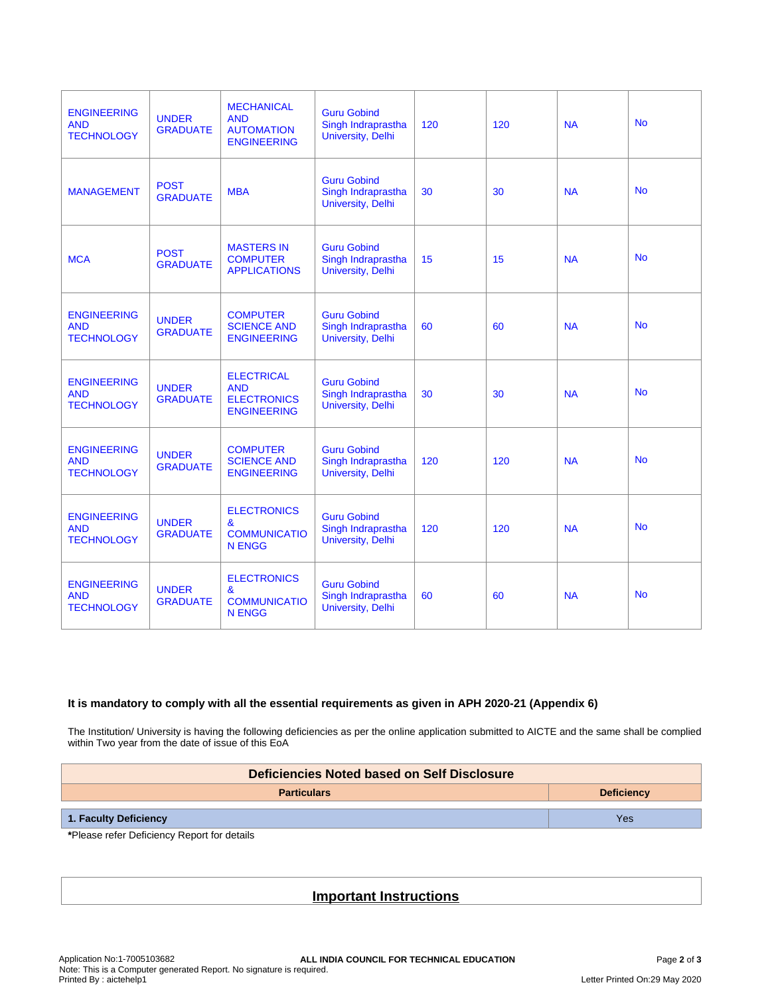| <b>ENGINEERING</b><br><b>AND</b><br><b>TECHNOLOGY</b> | <b>UNDER</b><br><b>GRADUATE</b> | <b>MECHANICAL</b><br><b>AND</b><br><b>AUTOMATION</b><br><b>ENGINEERING</b>          | <b>Guru Gobind</b><br>Singh Indraprastha<br>University, Delhi        | 120 | 120 | <b>NA</b> | <b>No</b> |
|-------------------------------------------------------|---------------------------------|-------------------------------------------------------------------------------------|----------------------------------------------------------------------|-----|-----|-----------|-----------|
| <b>MANAGEMENT</b>                                     | <b>POST</b><br><b>GRADUATE</b>  | <b>MBA</b>                                                                          | <b>Guru Gobind</b><br>Singh Indraprastha<br><b>University, Delhi</b> | 30  | 30  | <b>NA</b> | <b>No</b> |
| <b>MCA</b>                                            | <b>POST</b><br><b>GRADUATE</b>  | <b>MASTERS IN</b><br><b>COMPUTER</b><br><b>APPLICATIONS</b>                         | <b>Guru Gobind</b><br>Singh Indraprastha<br><b>University, Delhi</b> | 15  | 15  | <b>NA</b> | <b>No</b> |
| <b>ENGINEERING</b><br><b>AND</b><br><b>TECHNOLOGY</b> | <b>UNDER</b><br><b>GRADUATE</b> | <b>COMPUTER</b><br><b>SCIENCE AND</b><br><b>ENGINEERING</b>                         | <b>Guru Gobind</b><br>Singh Indraprastha<br>University, Delhi        | 60  | 60  | <b>NA</b> | <b>No</b> |
| <b>ENGINEERING</b><br><b>AND</b><br><b>TECHNOLOGY</b> | <b>UNDER</b><br><b>GRADUATE</b> | <b>ELECTRICAL</b><br><b>AND</b><br><b>ELECTRONICS</b><br><b>ENGINEERING</b>         | <b>Guru Gobind</b><br>Singh Indraprastha<br>University, Delhi        | 30  | 30  | <b>NA</b> | <b>No</b> |
| <b>ENGINEERING</b><br><b>AND</b><br><b>TECHNOLOGY</b> | <b>UNDER</b><br><b>GRADUATE</b> | <b>COMPUTER</b><br><b>SCIENCE AND</b><br><b>ENGINEERING</b>                         | <b>Guru Gobind</b><br>Singh Indraprastha<br><b>University, Delhi</b> | 120 | 120 | <b>NA</b> | <b>No</b> |
| <b>ENGINEERING</b><br><b>AND</b><br><b>TECHNOLOGY</b> | <b>UNDER</b><br><b>GRADUATE</b> | <b>ELECTRONICS</b><br>$\boldsymbol{\alpha}$<br><b>COMMUNICATIO</b><br><b>N ENGG</b> | <b>Guru Gobind</b><br>Singh Indraprastha<br>University, Delhi        | 120 | 120 | <b>NA</b> | <b>No</b> |
| <b>ENGINEERING</b><br><b>AND</b><br><b>TECHNOLOGY</b> | <b>UNDER</b><br><b>GRADUATE</b> | <b>ELECTRONICS</b><br>&<br><b>COMMUNICATIO</b><br><b>N ENGG</b>                     | <b>Guru Gobind</b><br>Singh Indraprastha<br>University, Delhi        | 60  | 60  | <b>NA</b> | <b>No</b> |

### **It is mandatory to comply with all the essential requirements as given in APH 2020-21 (Appendix 6)**

The Institution/ University is having the following deficiencies as per the online application submitted to AICTE and the same shall be complied within Two year from the date of issue of this EoA

| Deficiencies Noted based on Self Disclosure |                   |  |  |  |
|---------------------------------------------|-------------------|--|--|--|
| <b>Particulars</b>                          | <b>Deficiency</b> |  |  |  |
| 1. Faculty Deficiency                       | Yes               |  |  |  |

**\***Please refer Deficiency Report for details

## **Important Instructions**